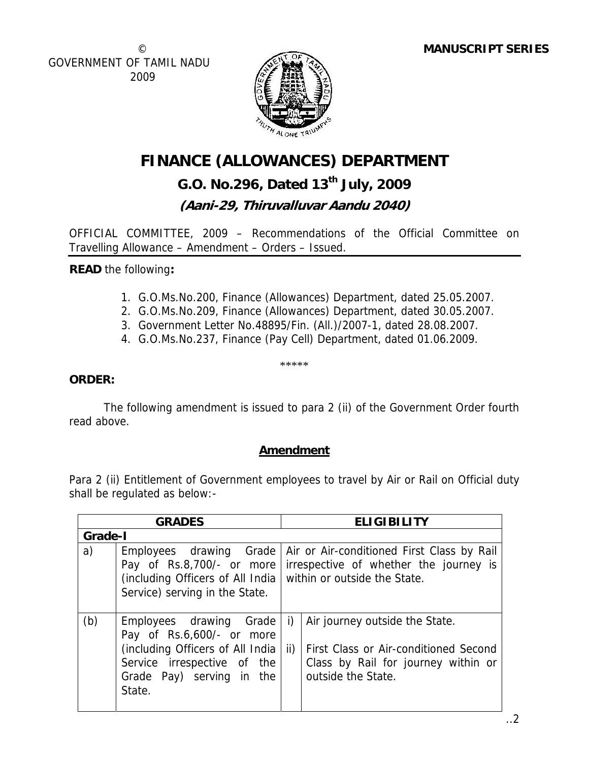© GOVERNMENT OF TAMIL NADU 2009



# **FINANCE (ALLOWANCES) DEPARTMENT**

## **G.O. No.296, Dated 13th July, 2009**

## **(Aani-29, Thiruvalluvar Aandu 2040)**

OFFICIAL COMMITTEE, 2009 – Recommendations of the Official Committee on Travelling Allowance – Amendment – Orders – Issued.

**READ** the following**:** 

- 1. G.O.Ms.No.200, Finance (Allowances) Department, dated 25.05.2007.
- 2. G.O.Ms.No.209, Finance (Allowances) Department, dated 30.05.2007.
- 3. Government Letter No.48895/Fin. (All.)/2007-1, dated 28.08.2007.
- 4. G.O.Ms.No.237, Finance (Pay Cell) Department, dated 01.06.2009.

\*\*\*\*\*

### **ORDER:**

 The following amendment is issued to para 2 (ii) of the Government Order fourth read above.

### **Amendment**

Para 2 (ii) Entitlement of Government employees to travel by Air or Rail on Official duty shall be regulated as below:-

| <b>GRADES</b> |                                                                                                                                                                | <b>ELIGIBILITY</b>                                                                                                                                |  |
|---------------|----------------------------------------------------------------------------------------------------------------------------------------------------------------|---------------------------------------------------------------------------------------------------------------------------------------------------|--|
| Grade-I       |                                                                                                                                                                |                                                                                                                                                   |  |
| a)            | Employees drawing Grade<br>Pay of Rs.8,700/- or more<br>(including Officers of All India within or outside the State.<br>Service) serving in the State.        | Air or Air-conditioned First Class by Rail<br>irrespective of whether the journey is                                                              |  |
| (b)           | Employees drawing Grade<br>Pay of Rs.6,600/- or more<br>(including Officers of All India<br>Service irrespective of the<br>Grade Pay) serving in the<br>State. | Air journey outside the State.<br>i)<br>ii)<br>First Class or Air-conditioned Second<br>Class by Rail for journey within or<br>outside the State. |  |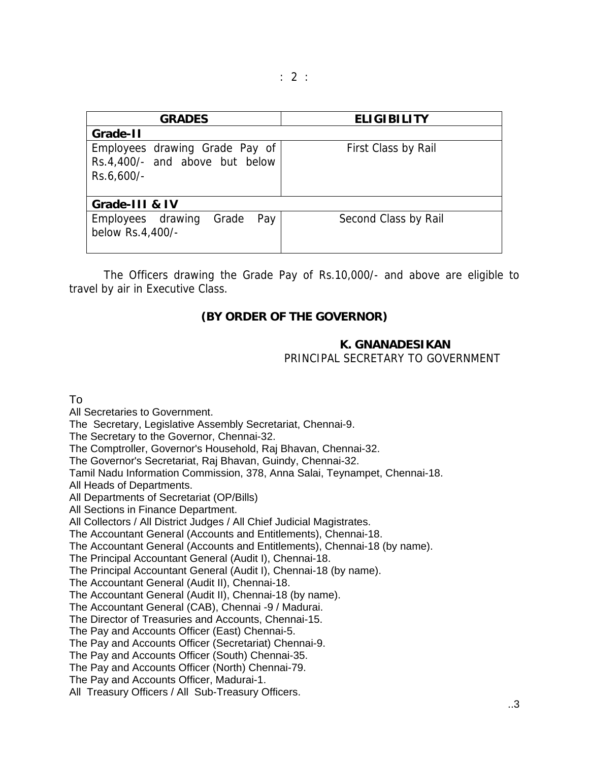| <b>GRADES</b>                                                                  | <b>ELIGIBILITY</b>   |  |
|--------------------------------------------------------------------------------|----------------------|--|
| Grade-II                                                                       |                      |  |
| Employees drawing Grade Pay of<br>Rs.4,400/- and above but below<br>Rs.6,600/- | First Class by Rail  |  |
| Grade-III & IV                                                                 |                      |  |
| Employees drawing<br>Pay<br>Grade<br>below Rs.4,400/-                          | Second Class by Rail |  |

 The Officers drawing the Grade Pay of Rs.10,000/- and above are eligible to travel by air in Executive Class.

#### **(BY ORDER OF THE GOVERNOR)**

#### **K. GNANADESIKAN**

PRINCIPAL SECRETARY TO GOVERNMENT

To

All Secretaries to Government. The Secretary, Legislative Assembly Secretariat, Chennai-9. The Secretary to the Governor, Chennai-32. The Comptroller, Governor's Household, Raj Bhavan, Chennai-32. The Governor's Secretariat, Raj Bhavan, Guindy, Chennai-32.

Tamil Nadu Information Commission, 378, Anna Salai, Teynampet, Chennai-18.

All Heads of Departments.

All Departments of Secretariat (OP/Bills)

All Sections in Finance Department.

All Collectors / All District Judges / All Chief Judicial Magistrates.

The Accountant General (Accounts and Entitlements), Chennai-18.

The Accountant General (Accounts and Entitlements), Chennai-18 (by name).

The Principal Accountant General (Audit I), Chennai-18.

The Principal Accountant General (Audit I), Chennai-18 (by name).

The Accountant General (Audit II), Chennai-18.

The Accountant General (Audit II), Chennai-18 (by name).

The Accountant General (CAB), Chennai -9 / Madurai.

The Director of Treasuries and Accounts, Chennai-15.

The Pay and Accounts Officer (East) Chennai-5.

The Pay and Accounts Officer (Secretariat) Chennai-9.

The Pay and Accounts Officer (South) Chennai-35.

The Pay and Accounts Officer (North) Chennai-79.

The Pay and Accounts Officer, Madurai-1.

All Treasury Officers / All Sub-Treasury Officers.